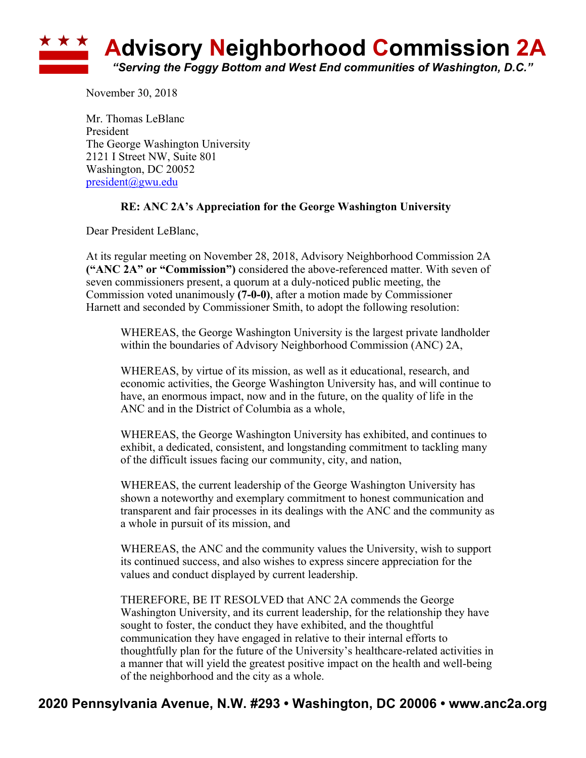

November 30, 2018

Mr. Thomas LeBlanc President The George Washington University 2121 I Street NW, Suite 801 Washington, DC 20052 president@gwu.edu

## **RE: ANC 2A's Appreciation for the George Washington University**

Dear President LeBlanc,

At its regular meeting on November 28, 2018, Advisory Neighborhood Commission 2A **("ANC 2A" or "Commission")** considered the above-referenced matter. With seven of seven commissioners present, a quorum at a duly-noticed public meeting, the Commission voted unanimously **(7-0-0)**, after a motion made by Commissioner Harnett and seconded by Commissioner Smith, to adopt the following resolution:

WHEREAS, the George Washington University is the largest private landholder within the boundaries of Advisory Neighborhood Commission (ANC) 2A,

WHEREAS, by virtue of its mission, as well as it educational, research, and economic activities, the George Washington University has, and will continue to have, an enormous impact, now and in the future, on the quality of life in the ANC and in the District of Columbia as a whole,

WHEREAS, the George Washington University has exhibited, and continues to exhibit, a dedicated, consistent, and longstanding commitment to tackling many of the difficult issues facing our community, city, and nation,

WHEREAS, the current leadership of the George Washington University has shown a noteworthy and exemplary commitment to honest communication and transparent and fair processes in its dealings with the ANC and the community as a whole in pursuit of its mission, and

WHEREAS, the ANC and the community values the University, wish to support its continued success, and also wishes to express sincere appreciation for the values and conduct displayed by current leadership.

THEREFORE, BE IT RESOLVED that ANC 2A commends the George Washington University, and its current leadership, for the relationship they have sought to foster, the conduct they have exhibited, and the thoughtful communication they have engaged in relative to their internal efforts to thoughtfully plan for the future of the University's healthcare-related activities in a manner that will yield the greatest positive impact on the health and well-being of the neighborhood and the city as a whole.